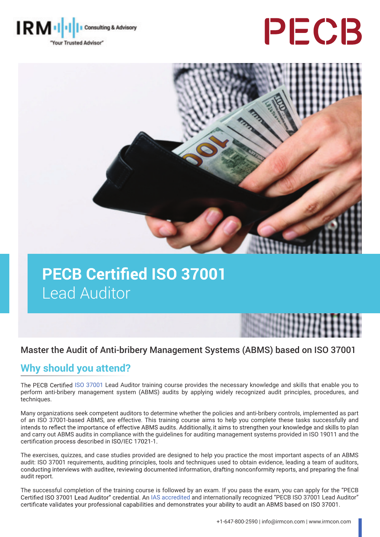

# PECB



# **PECB Certified ISO 37001** Lead Auditor

## Master the Audit of Anti-bribery Management Systems (ABMS) based on ISO 37001

# **Why should you attend?**

The PECB Certified [ISO 37001](https://pecb.com/en/education-and-certification-for-individuals/iso-37001) Lead Auditor training course provides the necessary knowledge and skills that enable you to perform anti-bribery management system (ABMS) audits by applying widely recognized audit principles, procedures, and techniques.

Many organizations seek competent auditors to determine whether the policies and anti-bribery controls, implemented as part of an ISO 37001-based ABMS, are effective. This training course aims to help you complete these tasks successfully and intends to reflect the importance of effective ABMS audits. Additionally, it aims to strengthen your knowledge and skills to plan and carry out ABMS audits in compliance with the guidelines for auditing management systems provided in ISO 19011 and the certification process described in ISO/IEC 17021-1.

The exercises, quizzes, and case studies provided are designed to help you practice the most important aspects of an ABMS audit: ISO 37001 requirements, auditing principles, tools and techniques used to obtain evidence, leading a team of auditors, conducting interviews with auditee, reviewing documented information, drafting nonconformity rep audit report.

The successful completion of the training course is followed by an exam. If you pass the exam, you can apply for the "PECB Certified ISO 37001 Lead Auditor" credential. An [IAS accredited](https://www.iasonline.org/wp-content/uploads/2017/05/PCB-111.pdf) and internationally recognized "PECB ISO 37001 Lead Auditor" certificate validates your professional capabilities and demonstrates your ability to audit an ABMS based on ISO 37001.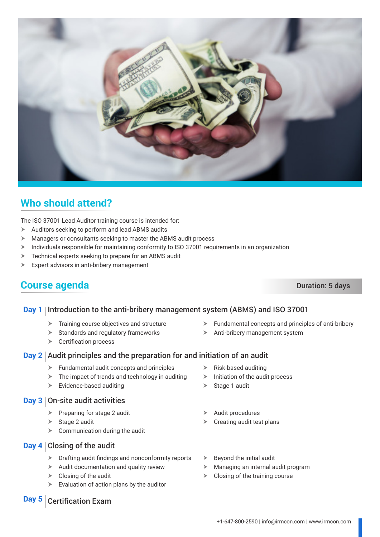

# **Who should attend?**

The ISO 37001 Lead Auditor training course is intended for:

- $\triangleright$  Auditors seeking to perform and lead ABMS audits
- $\blacktriangleright$  Managers or consultants seeking to master the ABMS audit process
- > Individuals responsible for maintaining conformity to ISO 37001 requirements in an organization
- $\triangleright$  Technical experts seeking to prepare for an ABMS audit
- $\triangleright$  Expert advisors in anti-bribery management

# **Course agenda** Duration: 5 days

#### **Day 1** Introduction to the anti-bribery management system (ABMS) and ISO 37001

- $\blacktriangleright$  Training course objectives and structure
- $\blacktriangleright$  Standards and regulatory frameworks
- $\triangleright$  Certification process

#### **Day 2** Audit principles and the preparation for and initiation of an audit

- $\blacktriangleright$  Fundamental audit concepts and principles
- $\triangleright$  The impact of trends and technology in auditing
- $\blacktriangleright$  Evidence-based auditing

#### **Day 3** On-site audit activities

- $\triangleright$  Preparing for stage 2 audit
- $\triangleright$  Stage 2 audit
- $\triangleright$  Communication during the audit

#### **Day 4** Closing of the audit

- $\triangleright$  Drafting audit findings and nonconformity reports
- $\blacktriangleright$  Audit documentation and quality review
- $\triangleright$  Closing of the audit
- $\triangleright$  Evaluation of action plans by the auditor
- $\blacktriangleright$  Fundamental concepts and principles of anti-bribery
- $\triangleright$  Anti-bribery management system
- $\triangleright$  Risk-based auditing
- $\triangleright$  Initiation of the audit process
- $\triangleright$  Stage 1 audit
- Audit procedures
- $\triangleright$  Creating audit test plans
- $\triangleright$  Beyond the initial audit
- $\blacktriangleright$  Managing an internal audit program
- $\triangleright$  Closing of the training course

## **Day 5** Certification Exam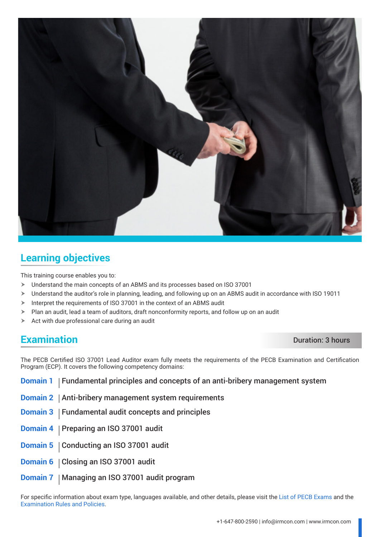

# **Learning objectives**

This training course enables you to:

- $\blacktriangleright$  Understand the main concepts of an ABMS and its processes based on ISO 37001
- > Understand the auditor's role in planning, leading, and following up on an ABMS audit in accordance with ISO 19011
- $\triangleright$  Interpret the requirements of ISO 37001 in the context of an ABMS audit
- $\triangleright$  Plan an audit, lead a team of auditors, draft nonconformity reports, and follow up on an audit
- $\triangleright$  Act with due professional care during an audit

## **Examination** Duration: 3 hours

The PECB Certified ISO 37001 Lead Auditor exam fully meets the requirements of the PECB Examination and Certification Program (ECP). It covers the following competency domains:

- **Domain 1** Fundamental principles and concepts of an anti-bribery management system
- **Domain 2** | Anti-bribery management system requirements
- **Domain 3** | Fundamental audit concepts and principles
- **Domain 4** | Preparing an ISO 37001 audit
- **Domain 5** | Conducting an ISO 37001 audit
- **Domain 6** | Closing an ISO 37001 audit
- **Domain 7** | Managing an ISO 37001 audit program

For specific information about exam type, languages available, and other details, please visit the [List of PECB Exams](https://pecb.com/help/index.php/list-of-pecb-exams/) and the [Examination Rules and Policies](https://pecb.com/en/examination-rules-and-policies).